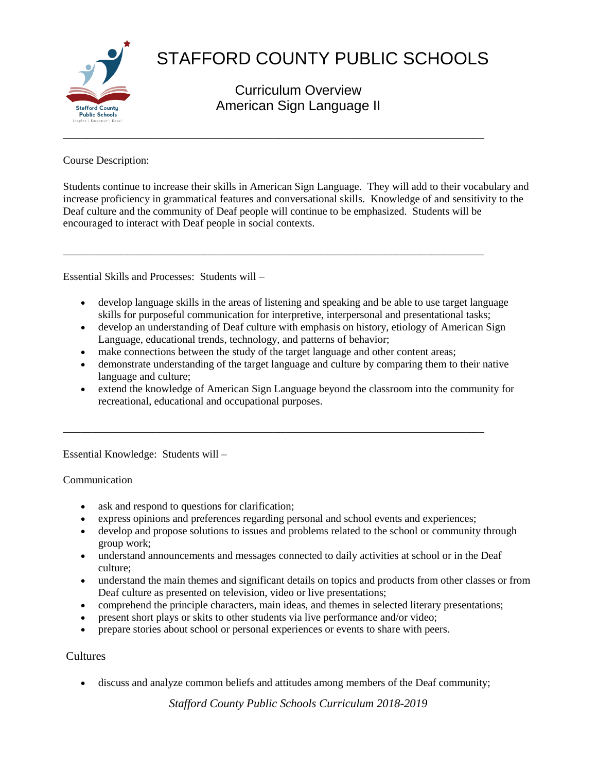

# STAFFORD COUNTY PUBLIC SCHOOLS

Curriculum Overview American Sign Language II

Course Description:

Students continue to increase their skills in American Sign Language. They will add to their vocabulary and increase proficiency in grammatical features and conversational skills. Knowledge of and sensitivity to the Deaf culture and the community of Deaf people will continue to be emphasized. Students will be encouraged to interact with Deaf people in social contexts.

Essential Skills and Processes: Students will –

- develop language skills in the areas of listening and speaking and be able to use target language skills for purposeful communication for interpretive, interpersonal and presentational tasks;
- develop an understanding of Deaf culture with emphasis on history, etiology of American Sign Language, educational trends, technology, and patterns of behavior;
- make connections between the study of the target language and other content areas;

\_\_\_\_\_\_\_\_\_\_\_\_\_\_\_\_\_\_\_\_\_\_\_\_\_\_\_\_\_\_\_\_\_\_\_\_\_\_\_\_\_\_\_\_\_\_\_\_\_\_\_\_\_\_\_\_\_\_\_\_\_\_\_\_\_\_\_\_\_\_\_\_

\_\_\_\_\_\_\_\_\_\_\_\_\_\_\_\_\_\_\_\_\_\_\_\_\_\_\_\_\_\_\_\_\_\_\_\_\_\_\_\_\_\_\_\_\_\_\_\_\_\_\_\_\_\_\_\_\_\_\_\_\_\_\_\_\_\_\_\_\_\_\_\_

- demonstrate understanding of the target language and culture by comparing them to their native language and culture;
- extend the knowledge of American Sign Language beyond the classroom into the community for recreational, educational and occupational purposes.

Essential Knowledge: Students will –

### Communication

- ask and respond to questions for clarification;
- express opinions and preferences regarding personal and school events and experiences;
- develop and propose solutions to issues and problems related to the school or community through group work;
- understand announcements and messages connected to daily activities at school or in the Deaf culture;
- understand the main themes and significant details on topics and products from other classes or from Deaf culture as presented on television, video or live presentations;
- comprehend the principle characters, main ideas, and themes in selected literary presentations;
- present short plays or skits to other students via live performance and/or video;
- prepare stories about school or personal experiences or events to share with peers.

# Cultures

discuss and analyze common beliefs and attitudes among members of the Deaf community;

*Stafford County Public Schools Curriculum 2018-2019*